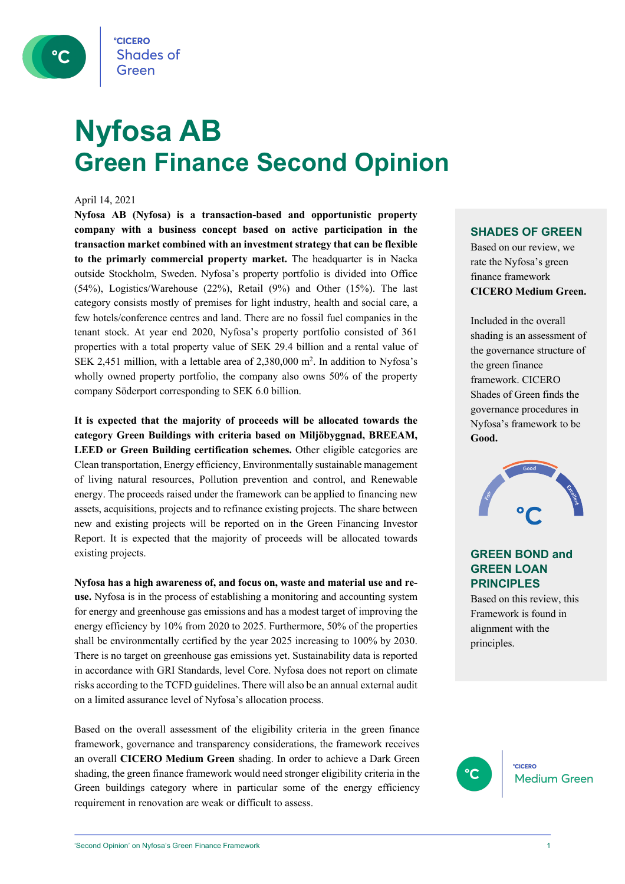

# **Nyfosa AB Green Finance Second Opinion**

### April 14, 2021

**Nyfosa AB (Nyfosa) is a transaction-based and opportunistic property company with a business concept based on active participation in the transaction market combined with an investment strategy that can be flexible to the primarly commercial property market.** The headquarter is in Nacka outside Stockholm, Sweden. Nyfosa's property portfolio is divided into Office (54%), Logistics/Warehouse (22%), Retail (9%) and Other (15%). The last category consists mostly of premises for light industry, health and social care, a few hotels/conference centres and land. There are no fossil fuel companies in the tenant stock. At year end 2020, Nyfosa's property portfolio consisted of 361 properties with a total property value of SEK 29.4 billion and a rental value of SEK 2,451 million, with a lettable area of 2,380,000 m<sup>2</sup>. In addition to Nyfosa's wholly owned property portfolio, the company also owns 50% of the property company Söderport corresponding to SEK 6.0 billion.

**It is expected that the majority of proceeds will be allocated towards the category Green Buildings with criteria based on Miljöbyggnad, BREEAM, LEED or Green Building certification schemes.** Other eligible categories are Clean transportation, Energy efficiency, Environmentally sustainable management of living natural resources, Pollution prevention and control, and Renewable energy. The proceeds raised under the framework can be applied to financing new assets, acquisitions, projects and to refinance existing projects. The share between new and existing projects will be reported on in the Green Financing Investor Report. It is expected that the majority of proceeds will be allocated towards existing projects.

**Nyfosa has a high awareness of, and focus on, waste and material use and reuse.** Nyfosa is in the process of establishing a monitoring and accounting system for energy and greenhouse gas emissions and has a modest target of improving the energy efficiency by 10% from 2020 to 2025. Furthermore, 50% of the properties shall be environmentally certified by the year 2025 increasing to 100% by 2030. There is no target on greenhouse gas emissions yet. Sustainability data is reported in accordance with GRI Standards, level Core. Nyfosa does not report on climate risks according to the TCFD guidelines. There will also be an annual external audit on a limited assurance level of Nyfosa's allocation process.

Based on the overall assessment of the eligibility criteria in the green finance framework, governance and transparency considerations, the framework receives an overall **CICERO Medium Green** shading. In order to achieve a Dark Green shading, the green finance framework would need stronger eligibility criteria in the Green buildings category where in particular some of the energy efficiency requirement in renovation are weak or difficult to assess.

## **SHADES OF GREEN**

Based on our review, we rate the Nyfosa's green finance framework **CICERO Medium Green.** 

Included in the overall shading is an assessment of the governance structure of the green finance framework. CICERO Shades of Green finds the governance procedures in Nyfosa's framework to be **Good.**



## **GREEN BOND and GREEN LOAN PRINCIPLES**

Based on this review, this Framework is found in alignment with the principles.

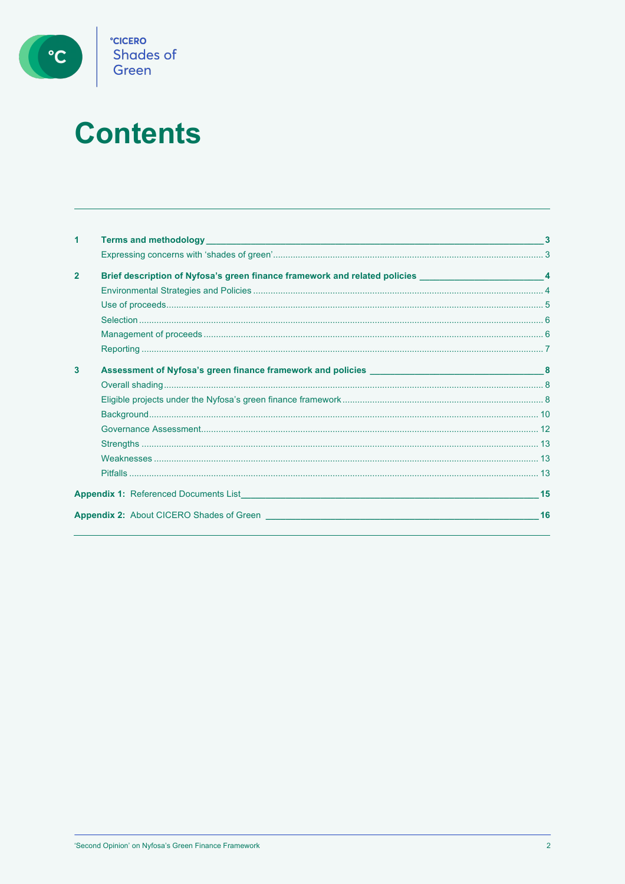

# **Contents**

| 1              |                                                                                                                                                                                                                                         |    |
|----------------|-----------------------------------------------------------------------------------------------------------------------------------------------------------------------------------------------------------------------------------------|----|
|                |                                                                                                                                                                                                                                         |    |
| $\overline{2}$ | Brief description of Nyfosa's green finance framework and related policies _________________________4                                                                                                                                   |    |
|                |                                                                                                                                                                                                                                         |    |
|                |                                                                                                                                                                                                                                         |    |
|                |                                                                                                                                                                                                                                         |    |
|                |                                                                                                                                                                                                                                         |    |
|                |                                                                                                                                                                                                                                         |    |
| 3              |                                                                                                                                                                                                                                         |    |
|                |                                                                                                                                                                                                                                         |    |
|                |                                                                                                                                                                                                                                         |    |
|                |                                                                                                                                                                                                                                         |    |
|                |                                                                                                                                                                                                                                         |    |
|                |                                                                                                                                                                                                                                         |    |
|                |                                                                                                                                                                                                                                         |    |
|                |                                                                                                                                                                                                                                         |    |
|                | <b>Appendix 1:</b> Referenced Documents List <b>Example 2008 Contract Contract Contract Contract Contract Contract Contract Contract Contract Contract Contract Contract Contract Contract Contract Contract Contract Contract Cont</b> | 15 |
|                | <b>Appendix 2:</b> About CICERO Shades of Green                                                                                                                                                                                         | 16 |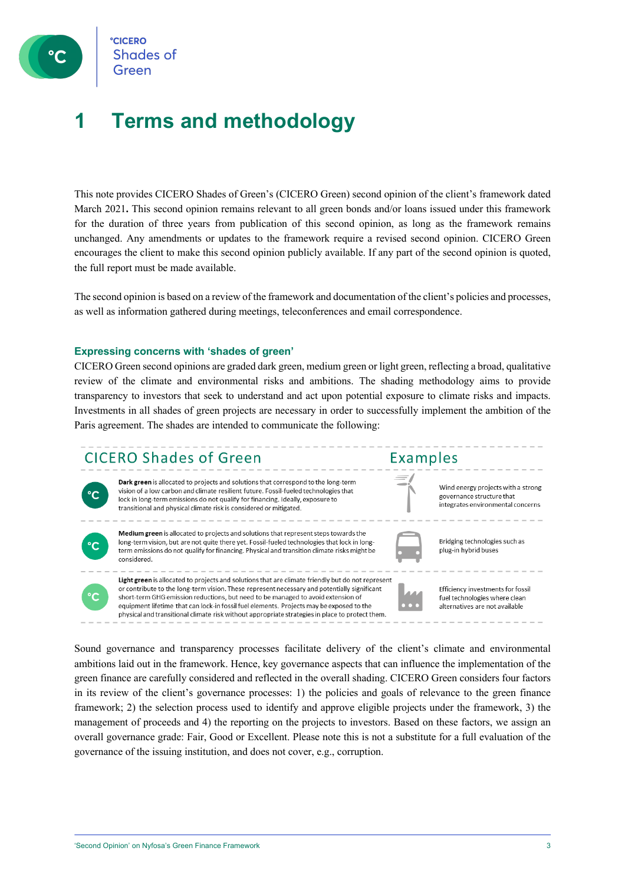

**CICERO Shades of** 

## **1 Terms and methodology**

This note provides CICERO Shades of Green's (CICERO Green) second opinion of the client's framework dated March 2021**.** This second opinion remains relevant to all green bonds and/or loans issued under this framework for the duration of three years from publication of this second opinion, as long as the framework remains unchanged. Any amendments or updates to the framework require a revised second opinion. CICERO Green encourages the client to make this second opinion publicly available. If any part of the second opinion is quoted, the full report must be made available.

The second opinion is based on a review of the framework and documentation of the client's policies and processes, as well as information gathered during meetings, teleconferences and email correspondence.

### **Expressing concerns with 'shades of green'**

CICERO Green second opinions are graded dark green, medium green or light green, reflecting a broad, qualitative review of the climate and environmental risks and ambitions. The shading methodology aims to provide transparency to investors that seek to understand and act upon potential exposure to climate risks and impacts. Investments in all shades of green projects are necessary in order to successfully implement the ambition of the Paris agreement. The shades are intended to communicate the following:

## CICERO Shades of Green



Dark green is allocated to projects and solutions that correspond to the long-term vision of a low carbon and climate resilient future. Fossil-fueled technologies that lock in long-term emissions do not qualify for financing. Ideally, exposure to transitional and physical climate risk is considered or mitigated.

short-term GHG emission reductions, but need to be managed to avoid extension of

equipment lifetime that can lock-in fossil fuel elements. Projects may be exposed to the

physical and transitional climate risk without appropriate strategies in place to protect them.



Medium green is allocated to projects and solutions that represent steps towards the long-term vision, but are not quite there yet. Fossil-fueled technologies that lock in longterm emissions do not qualify for financing. Physical and transition climate risks might be considered.



Efficiency investments for fossil fuel technologies where clean alternatives are not available

Bridging technologies such as

plug-in hybrid buses

Wind energy projects with a strong

integrates environmental concerns

governance structure that

Examples

Sound governance and transparency processes facilitate delivery of the client's climate and environmental ambitions laid out in the framework. Hence, key governance aspects that can influence the implementation of the green finance are carefully considered and reflected in the overall shading. CICERO Green considers four factors in its review of the client's governance processes: 1) the policies and goals of relevance to the green finance framework; 2) the selection process used to identify and approve eligible projects under the framework, 3) the management of proceeds and 4) the reporting on the projects to investors. Based on these factors, we assign an overall governance grade: Fair, Good or Excellent. Please note this is not a substitute for a full evaluation of the governance of the issuing institution, and does not cover, e.g., corruption.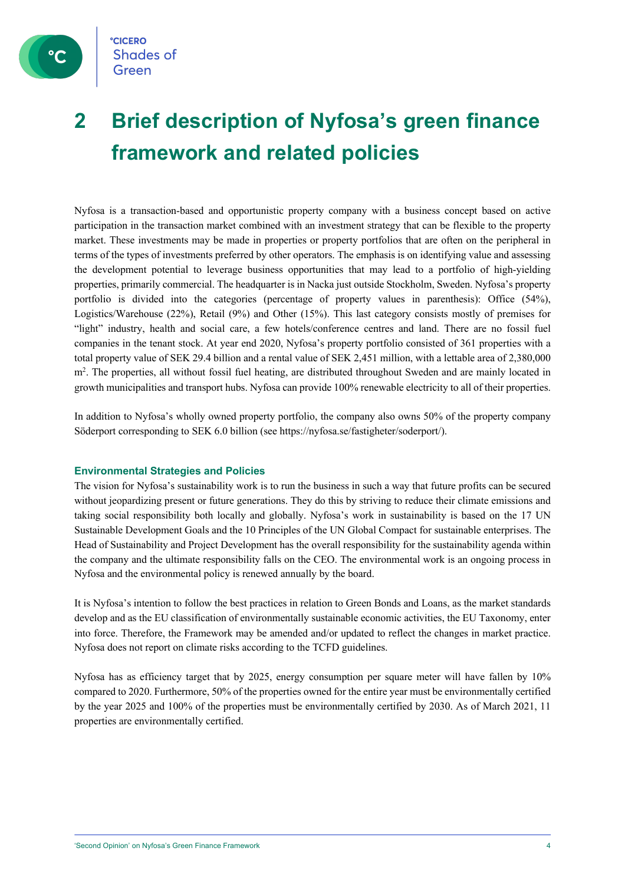

## **2 Brief description of Nyfosa's green finance framework and related policies**

Nyfosa is a transaction-based and opportunistic property company with a business concept based on active participation in the transaction market combined with an investment strategy that can be flexible to the property market. These investments may be made in properties or property portfolios that are often on the peripheral in terms of the types of investments preferred by other operators. The emphasis is on identifying value and assessing the development potential to leverage business opportunities that may lead to a portfolio of high-yielding properties, primarily commercial. The headquarter is in Nacka just outside Stockholm, Sweden. Nyfosa's property portfolio is divided into the categories (percentage of property values in parenthesis): Office (54%), Logistics/Warehouse (22%), Retail (9%) and Other (15%). This last category consists mostly of premises for "light" industry, health and social care, a few hotels/conference centres and land. There are no fossil fuel companies in the tenant stock. At year end 2020, Nyfosa's property portfolio consisted of 361 properties with a total property value of SEK 29.4 billion and a rental value of SEK 2,451 million, with a lettable area of 2,380,000 m<sup>2</sup>. The properties, all without fossil fuel heating, are distributed throughout Sweden and are mainly located in growth municipalities and transport hubs. Nyfosa can provide 100% renewable electricity to all of their properties.

In addition to Nyfosa's wholly owned property portfolio, the company also owns 50% of the property company Söderport corresponding to SEK 6.0 billion (see https://nyfosa.se/fastigheter/soderport/).

## **Environmental Strategies and Policies**

The vision for Nyfosa's sustainability work is to run the business in such a way that future profits can be secured without jeopardizing present or future generations. They do this by striving to reduce their climate emissions and taking social responsibility both locally and globally. Nyfosa's work in sustainability is based on the 17 UN Sustainable Development Goals and the 10 Principles of the UN Global Compact for sustainable enterprises. The Head of Sustainability and Project Development has the overall responsibility for the sustainability agenda within the company and the ultimate responsibility falls on the CEO. The environmental work is an ongoing process in Nyfosa and the environmental policy is renewed annually by the board.

It is Nyfosa's intention to follow the best practices in relation to Green Bonds and Loans, as the market standards develop and as the EU classification of environmentally sustainable economic activities, the EU Taxonomy, enter into force. Therefore, the Framework may be amended and/or updated to reflect the changes in market practice. Nyfosa does not report on climate risks according to the TCFD guidelines.

Nyfosa has as efficiency target that by 2025, energy consumption per square meter will have fallen by 10% compared to 2020. Furthermore, 50% of the properties owned for the entire year must be environmentally certified by the year 2025 and 100% of the properties must be environmentally certified by 2030. As of March 2021, 11 properties are environmentally certified.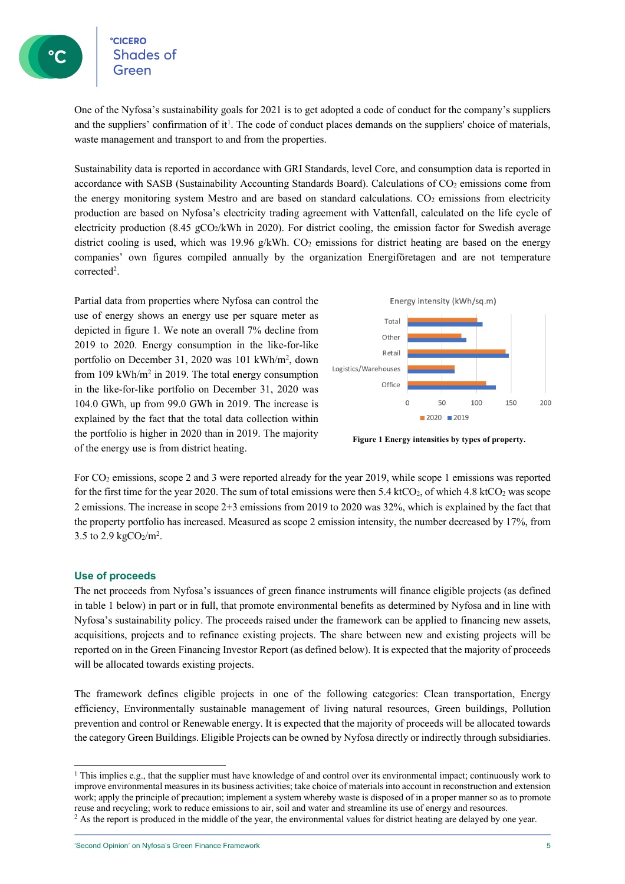**CICERO Shades of** 

One of the Nyfosa's sustainability goals for 2021 is to get adopted a code of conduct for the company's suppliers and the suppliers' confirmation of it<sup>1</sup>. The code of conduct places demands on the suppliers' choice of materials, waste management and transport to and from the properties.

Sustainability data is reported in accordance with GRI Standards, level Core, and consumption data is reported in accordance with SASB (Sustainability Accounting Standards Board). Calculations of CO2 emissions come from the energy monitoring system Mestro and are based on standard calculations.  $CO<sub>2</sub>$  emissions from electricity production are based on Nyfosa's electricity trading agreement with Vattenfall, calculated on the life cycle of electricity production (8.45 gCO2/kWh in 2020). For district cooling, the emission factor for Swedish average district cooling is used, which was 19.96  $g/kWh$ . CO<sub>2</sub> emissions for district heating are based on the energy companies' own figures compiled annually by the organization Energiföretagen and are not temperature corrected<sup>2</sup>.

Partial data from properties where Nyfosa can control the use of energy shows an energy use per square meter as depicted in figure 1. We note an overall 7% decline from 2019 to 2020. Energy consumption in the like-for-like portfolio on December 31, 2020 was 101 kWh/m2 , down from 109 kWh/m2 in 2019. The total energy consumption in the like-for-like portfolio on December 31, 2020 was 104.0 GWh, up from 99.0 GWh in 2019. The increase is explained by the fact that the total data collection within the portfolio is higher in 2020 than in 2019. The majority of the energy use is from district heating.



**Figure 1 Energy intensities by types of property.**

For CO2 emissions, scope 2 and 3 were reported already for the year 2019, while scope 1 emissions was reported for the first time for the year 2020. The sum of total emissions were then 5.4 ktCO<sub>2</sub>, of which 4.8 ktCO<sub>2</sub> was scope 2 emissions. The increase in scope 2+3 emissions from 2019 to 2020 was 32%, which is explained by the fact that the property portfolio has increased. Measured as scope 2 emission intensity, the number decreased by 17%, from 3.5 to 2.9  $\text{kgCO}_2/\text{m}^2$ .

## **Use of proceeds**

The net proceeds from Nyfosa's issuances of green finance instruments will finance eligible projects (as defined in table 1 below) in part or in full, that promote environmental benefits as determined by Nyfosa and in line with Nyfosa's sustainability policy. The proceeds raised under the framework can be applied to financing new assets, acquisitions, projects and to refinance existing projects. The share between new and existing projects will be reported on in the Green Financing Investor Report (as defined below). It is expected that the majority of proceeds will be allocated towards existing projects.

The framework defines eligible projects in one of the following categories: Clean transportation, Energy efficiency, Environmentally sustainable management of living natural resources, Green buildings, Pollution prevention and control or Renewable energy. It is expected that the majority of proceeds will be allocated towards the category Green Buildings. Eligible Projects can be owned by Nyfosa directly or indirectly through subsidiaries.

<sup>&</sup>lt;sup>1</sup> This implies e.g., that the supplier must have knowledge of and control over its environmental impact; continuously work to improve environmental measures in its business activities; take choice of materials into account in reconstruction and extension work; apply the principle of precaution; implement a system whereby waste is disposed of in a proper manner so as to promote reuse and recycling; work to reduce emissions to air, soil and water and streamline its use of energy and resources.

 $2$  As the report is produced in the middle of the year, the environmental values for district heating are delayed by one year.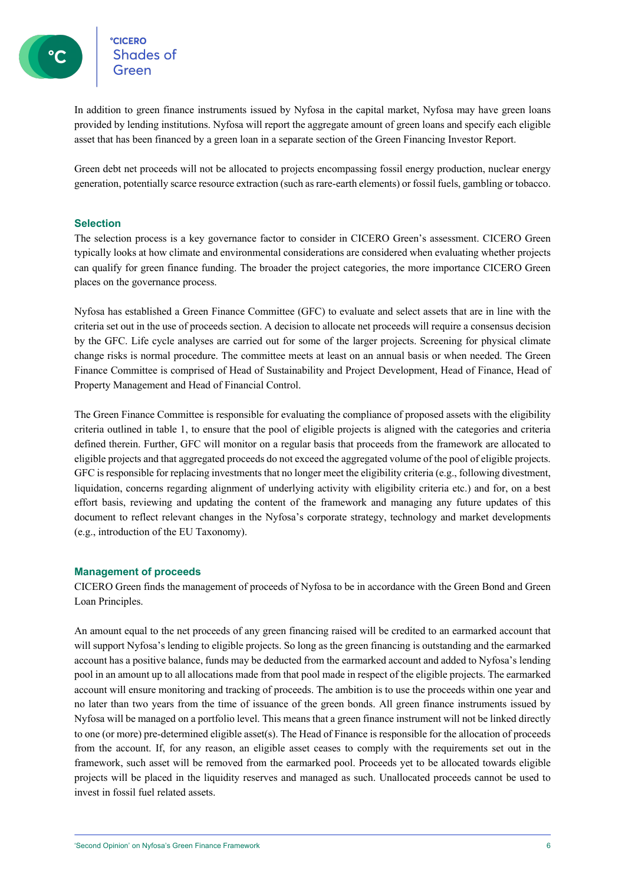**CICERO** eccero<br>Shades of

In addition to green finance instruments issued by Nyfosa in the capital market, Nyfosa may have green loans provided by lending institutions. Nyfosa will report the aggregate amount of green loans and specify each eligible asset that has been financed by a green loan in a separate section of the Green Financing Investor Report.

Green debt net proceeds will not be allocated to projects encompassing fossil energy production, nuclear energy generation, potentially scarce resource extraction (such as rare-earth elements) or fossil fuels, gambling or tobacco.

## **Selection**

The selection process is a key governance factor to consider in CICERO Green's assessment. CICERO Green typically looks at how climate and environmental considerations are considered when evaluating whether projects can qualify for green finance funding. The broader the project categories, the more importance CICERO Green places on the governance process.

Nyfosa has established a Green Finance Committee (GFC) to evaluate and select assets that are in line with the criteria set out in the use of proceeds section. A decision to allocate net proceeds will require a consensus decision by the GFC. Life cycle analyses are carried out for some of the larger projects. Screening for physical climate change risks is normal procedure. The committee meets at least on an annual basis or when needed. The Green Finance Committee is comprised of Head of Sustainability and Project Development, Head of Finance, Head of Property Management and Head of Financial Control.

The Green Finance Committee is responsible for evaluating the compliance of proposed assets with the eligibility criteria outlined in table 1, to ensure that the pool of eligible projects is aligned with the categories and criteria defined therein. Further, GFC will monitor on a regular basis that proceeds from the framework are allocated to eligible projects and that aggregated proceeds do not exceed the aggregated volume of the pool of eligible projects. GFC is responsible for replacing investments that no longer meet the eligibility criteria (e.g., following divestment, liquidation, concerns regarding alignment of underlying activity with eligibility criteria etc.) and for, on a best effort basis, reviewing and updating the content of the framework and managing any future updates of this document to reflect relevant changes in the Nyfosa's corporate strategy, technology and market developments (e.g., introduction of the EU Taxonomy).

## **Management of proceeds**

CICERO Green finds the management of proceeds of Nyfosa to be in accordance with the Green Bond and Green Loan Principles.

An amount equal to the net proceeds of any green financing raised will be credited to an earmarked account that will support Nyfosa's lending to eligible projects. So long as the green financing is outstanding and the earmarked account has a positive balance, funds may be deducted from the earmarked account and added to Nyfosa's lending pool in an amount up to all allocations made from that pool made in respect of the eligible projects. The earmarked account will ensure monitoring and tracking of proceeds. The ambition is to use the proceeds within one year and no later than two years from the time of issuance of the green bonds. All green finance instruments issued by Nyfosa will be managed on a portfolio level. This means that a green finance instrument will not be linked directly to one (or more) pre-determined eligible asset(s). The Head of Finance is responsible for the allocation of proceeds from the account. If, for any reason, an eligible asset ceases to comply with the requirements set out in the framework, such asset will be removed from the earmarked pool. Proceeds yet to be allocated towards eligible projects will be placed in the liquidity reserves and managed as such. Unallocated proceeds cannot be used to invest in fossil fuel related assets.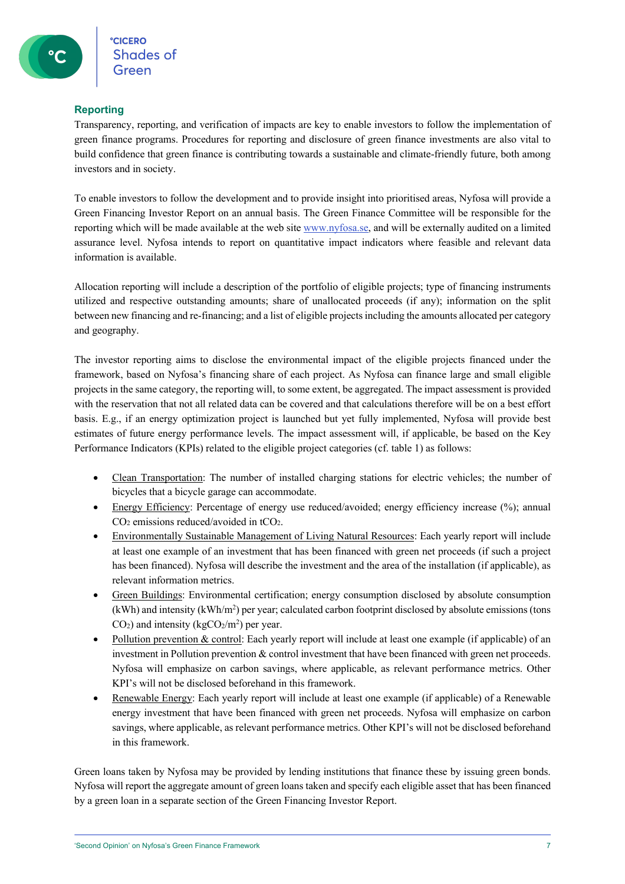## **Reporting**

Transparency, reporting, and verification of impacts are key to enable investors to follow the implementation of green finance programs. Procedures for reporting and disclosure of green finance investments are also vital to build confidence that green finance is contributing towards a sustainable and climate-friendly future, both among investors and in society.

To enable investors to follow the development and to provide insight into prioritised areas, Nyfosa will provide a Green Financing Investor Report on an annual basis. The Green Finance Committee will be responsible for the reporting which will be made available at the web site www.nyfosa.se, and will be externally audited on a limited assurance level. Nyfosa intends to report on quantitative impact indicators where feasible and relevant data information is available.

Allocation reporting will include a description of the portfolio of eligible projects; type of financing instruments utilized and respective outstanding amounts; share of unallocated proceeds (if any); information on the split between new financing and re-financing; and a list of eligible projects including the amounts allocated per category and geography.

The investor reporting aims to disclose the environmental impact of the eligible projects financed under the framework, based on Nyfosa's financing share of each project. As Nyfosa can finance large and small eligible projects in the same category, the reporting will, to some extent, be aggregated. The impact assessment is provided with the reservation that not all related data can be covered and that calculations therefore will be on a best effort basis. E.g., if an energy optimization project is launched but yet fully implemented, Nyfosa will provide best estimates of future energy performance levels. The impact assessment will, if applicable, be based on the Key Performance Indicators (KPIs) related to the eligible project categories (cf. table 1) as follows:

- Clean Transportation: The number of installed charging stations for electric vehicles; the number of bicycles that a bicycle garage can accommodate.
- Energy Efficiency: Percentage of energy use reduced/avoided; energy efficiency increase (%); annual CO2 emissions reduced/avoided in tCO2.
- Environmentally Sustainable Management of Living Natural Resources: Each yearly report will include at least one example of an investment that has been financed with green net proceeds (if such a project has been financed). Nyfosa will describe the investment and the area of the installation (if applicable), as relevant information metrics.
- Green Buildings: Environmental certification; energy consumption disclosed by absolute consumption (kWh) and intensity (kWh/m<sup>2</sup>) per year; calculated carbon footprint disclosed by absolute emissions (tons  $CO<sub>2</sub>$ ) and intensity (kg $CO<sub>2</sub>/m<sup>2</sup>$ ) per year.
- Pollution prevention & control: Each yearly report will include at least one example (if applicable) of an investment in Pollution prevention & control investment that have been financed with green net proceeds. Nyfosa will emphasize on carbon savings, where applicable, as relevant performance metrics. Other KPI's will not be disclosed beforehand in this framework.
- Renewable Energy: Each yearly report will include at least one example (if applicable) of a Renewable energy investment that have been financed with green net proceeds. Nyfosa will emphasize on carbon savings, where applicable, as relevant performance metrics. Other KPI's will not be disclosed beforehand in this framework.

Green loans taken by Nyfosa may be provided by lending institutions that finance these by issuing green bonds. Nyfosa will report the aggregate amount of green loans taken and specify each eligible asset that has been financed by a green loan in a separate section of the Green Financing Investor Report.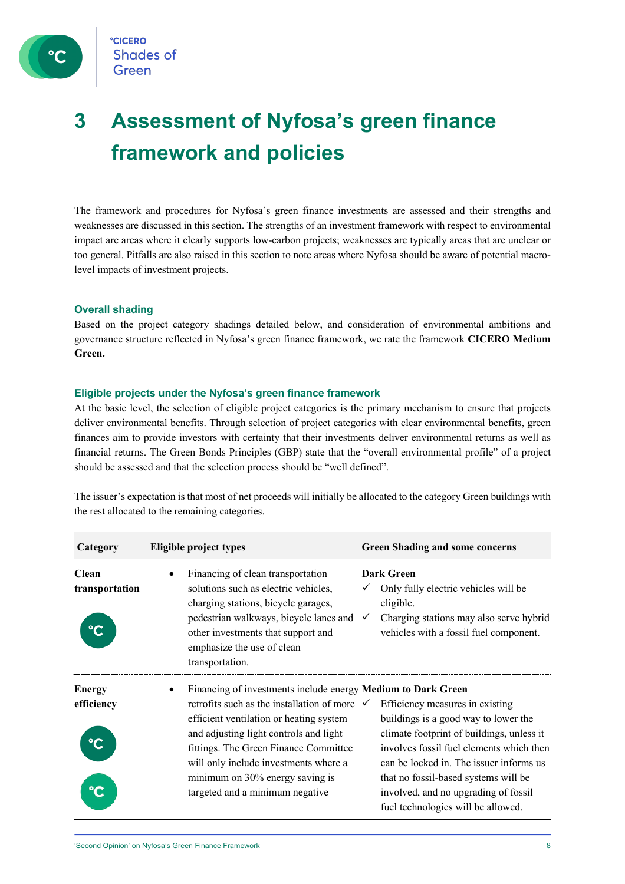

## **3 Assessment of Nyfosa's green finance framework and policies**

The framework and procedures for Nyfosa's green finance investments are assessed and their strengths and weaknesses are discussed in this section. The strengths of an investment framework with respect to environmental impact are areas where it clearly supports low-carbon projects; weaknesses are typically areas that are unclear or too general. Pitfalls are also raised in this section to note areas where Nyfosa should be aware of potential macrolevel impacts of investment projects.

## **Overall shading**

Based on the project category shadings detailed below, and consideration of environmental ambitions and governance structure reflected in Nyfosa's green finance framework, we rate the framework **CICERO Medium Green.**

### **Eligible projects under the Nyfosa's green finance framework**

At the basic level, the selection of eligible project categories is the primary mechanism to ensure that projects deliver environmental benefits. Through selection of project categories with clear environmental benefits, green finances aim to provide investors with certainty that their investments deliver environmental returns as well as financial returns. The Green Bonds Principles (GBP) state that the "overall environmental profile" of a project should be assessed and that the selection process should be "well defined".

The issuer's expectation is that most of net proceeds will initially be allocated to the category Green buildings with the rest allocated to the remaining categories.

| Category                       | Eligible project types                                                                                                                                                                                                                            | <b>Green Shading and some concerns</b>                                                                                                                                      |  |  |
|--------------------------------|---------------------------------------------------------------------------------------------------------------------------------------------------------------------------------------------------------------------------------------------------|-----------------------------------------------------------------------------------------------------------------------------------------------------------------------------|--|--|
| <b>Clean</b><br>transportation | Financing of clean transportation<br>solutions such as electric vehicles,<br>charging stations, bicycle garages,<br>pedestrian walkways, bicycle lanes and<br>other investments that support and<br>emphasize the use of clean<br>transportation. | <b>Dark Green</b><br>Only fully electric vehicles will be<br>eligible.<br>Charging stations may also serve hybrid<br>$\checkmark$<br>vehicles with a fossil fuel component. |  |  |
| <b>Energy</b>                  |                                                                                                                                                                                                                                                   | Financing of investments include energy Medium to Dark Green                                                                                                                |  |  |
| efficiency                     | retrofits such as the installation of more $\checkmark$                                                                                                                                                                                           | Efficiency measures in existing                                                                                                                                             |  |  |
|                                | efficient ventilation or heating system                                                                                                                                                                                                           | buildings is a good way to lower the                                                                                                                                        |  |  |
|                                | and adjusting light controls and light                                                                                                                                                                                                            | climate footprint of buildings, unless it                                                                                                                                   |  |  |
|                                | fittings. The Green Finance Committee                                                                                                                                                                                                             | involves fossil fuel elements which then                                                                                                                                    |  |  |
|                                | will only include investments where a                                                                                                                                                                                                             | can be locked in. The issuer informs us                                                                                                                                     |  |  |
|                                | minimum on 30% energy saving is                                                                                                                                                                                                                   | that no fossil-based systems will be                                                                                                                                        |  |  |
|                                | targeted and a minimum negative                                                                                                                                                                                                                   | involved, and no upgrading of fossil                                                                                                                                        |  |  |
|                                |                                                                                                                                                                                                                                                   | fuel technologies will be allowed.                                                                                                                                          |  |  |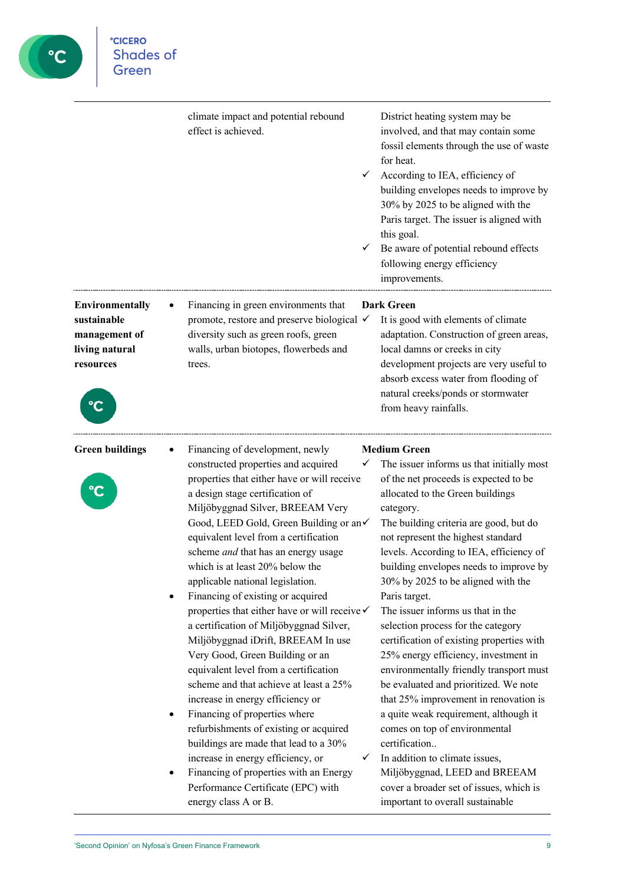

**CICERO**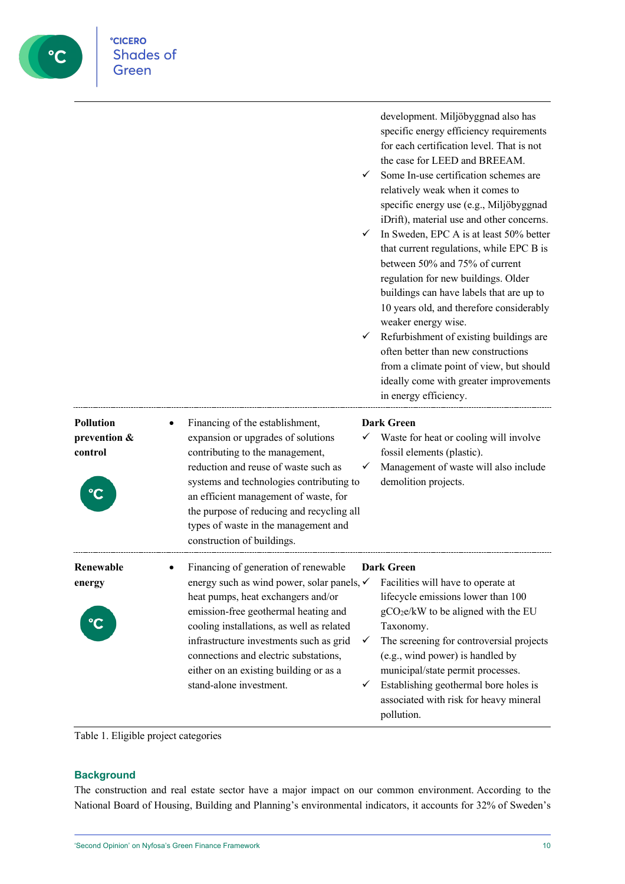|                                             | development. Miljöbyggnad also has<br>specific energy efficiency requirements<br>for each certification level. That is not<br>the case for LEED and BREEAM.<br>Some In-use certification schemes are<br>relatively weak when it comes to<br>specific energy use (e.g., Miljöbyggnad<br>iDrift), material use and other concerns.<br>In Sweden, EPC A is at least 50% better<br>✓<br>that current regulations, while EPC B is<br>between 50% and 75% of current<br>regulation for new buildings. Older<br>buildings can have labels that are up to<br>10 years old, and therefore considerably<br>weaker energy wise.<br>Refurbishment of existing buildings are<br>✓<br>often better than new constructions<br>from a climate point of view, but should<br>ideally come with greater improvements<br>in energy efficiency. |
|---------------------------------------------|----------------------------------------------------------------------------------------------------------------------------------------------------------------------------------------------------------------------------------------------------------------------------------------------------------------------------------------------------------------------------------------------------------------------------------------------------------------------------------------------------------------------------------------------------------------------------------------------------------------------------------------------------------------------------------------------------------------------------------------------------------------------------------------------------------------------------|
| <b>Pollution</b><br>prevention &<br>control | Financing of the establishment,<br><b>Dark Green</b><br>expansion or upgrades of solutions<br>Waste for heat or cooling will involve<br>$\checkmark$<br>contributing to the management,<br>fossil elements (plastic).<br>reduction and reuse of waste such as<br>Management of waste will also include<br>✓<br>systems and technologies contributing to<br>demolition projects.<br>an efficient management of waste, for<br>the purpose of reducing and recycling all<br>types of waste in the management and<br>construction of buildings.                                                                                                                                                                                                                                                                                |
| Renewable<br>energy<br>$\mathbf{C}$         | Financing of generation of renewable<br><b>Dark Green</b><br>energy such as wind power, solar panels, √<br>Facilities will have to operate at<br>heat pumps, heat exchangers and/or<br>lifecycle emissions lower than 100<br>emission-free geothermal heating and<br>gCO <sub>2</sub> e/kW to be aligned with the EU<br>cooling installations, as well as related<br>Taxonomy.<br>infrastructure investments such as grid<br>The screening for controversial projects<br>✓<br>connections and electric substations,<br>(e.g., wind power) is handled by<br>municipal/state permit processes.<br>either on an existing building or as a<br>stand-alone investment.<br>Establishing geothermal bore holes is<br>✓<br>associated with risk for heavy mineral<br>pollution.                                                    |

Table 1. Eligible project categories

°cicero<br>Shades of<br>Green

C

## **Background**

The construction and real estate sector have a major impact on our common environment. According to the National Board of Housing, Building and Planning's environmental indicators, it accounts for 32% of Sweden's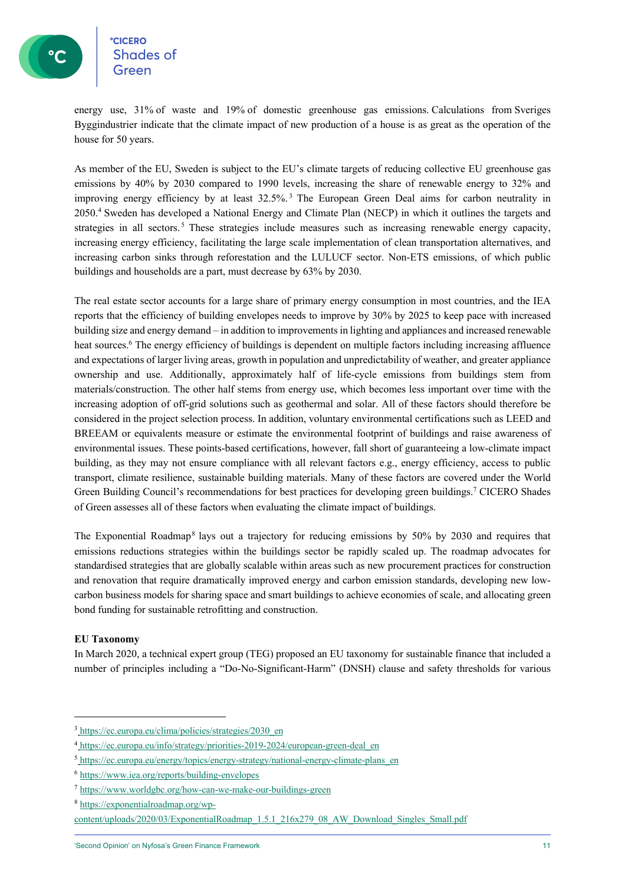energy use, 31% of waste and 19% of domestic greenhouse gas emissions. Calculations from Sveriges Byggindustrier indicate that the climate impact of new production of a house is as great as the operation of the house for 50 years.

As member of the EU, Sweden is subject to the EU's climate targets of reducing collective EU greenhouse gas emissions by 40% by 2030 compared to 1990 levels, increasing the share of renewable energy to 32% and improving energy efficiency by at least 32.5%. <sup>3</sup> The European Green Deal aims for carbon neutrality in 2050.4 Sweden has developed a National Energy and Climate Plan (NECP) in which it outlines the targets and strategies in all sectors.<sup>5</sup> These strategies include measures such as increasing renewable energy capacity, increasing energy efficiency, facilitating the large scale implementation of clean transportation alternatives, and increasing carbon sinks through reforestation and the LULUCF sector. Non-ETS emissions, of which public buildings and households are a part, must decrease by 63% by 2030.

The real estate sector accounts for a large share of primary energy consumption in most countries, and the IEA reports that the efficiency of building envelopes needs to improve by 30% by 2025 to keep pace with increased building size and energy demand – in addition to improvements in lighting and appliances and increased renewable heat sources.<sup>6</sup> The energy efficiency of buildings is dependent on multiple factors including increasing affluence and expectations of larger living areas, growth in population and unpredictability of weather, and greater appliance ownership and use. Additionally, approximately half of life-cycle emissions from buildings stem from materials/construction. The other half stems from energy use, which becomes less important over time with the increasing adoption of off-grid solutions such as geothermal and solar. All of these factors should therefore be considered in the project selection process. In addition, voluntary environmental certifications such as LEED and BREEAM or equivalents measure or estimate the environmental footprint of buildings and raise awareness of environmental issues. These points-based certifications, however, fall short of guaranteeing a low-climate impact building, as they may not ensure compliance with all relevant factors e.g., energy efficiency, access to public transport, climate resilience, sustainable building materials. Many of these factors are covered under the World Green Building Council's recommendations for best practices for developing green buildings.7 CICERO Shades of Green assesses all of these factors when evaluating the climate impact of buildings.

The Exponential Roadmap<sup>8</sup> lays out a trajectory for reducing emissions by 50% by 2030 and requires that emissions reductions strategies within the buildings sector be rapidly scaled up. The roadmap advocates for standardised strategies that are globally scalable within areas such as new procurement practices for construction and renovation that require dramatically improved energy and carbon emission standards, developing new lowcarbon business models for sharing space and smart buildings to achieve economies of scale, and allocating green bond funding for sustainable retrofitting and construction.

## **EU Taxonomy**

In March 2020, a technical expert group (TEG) proposed an EU taxonomy for sustainable finance that included a number of principles including a "Do-No-Significant-Harm" (DNSH) clause and safety thresholds for various

<sup>3</sup> https://ec.europa.eu/clima/policies/strategies/2030\_en

<sup>4</sup> https://ec.europa.eu/info/strategy/priorities-2019-2024/european-green-deal\_en

<sup>5</sup> https://ec.europa.eu/energy/topics/energy-strategy/national-energy-climate-plans\_en

<sup>6</sup> https://www.iea.org/reports/building-envelopes

<sup>7</sup> https://www.worldgbc.org/how-can-we-make-our-buildings-green

<sup>8</sup> https://exponentialroadmap.org/wp-

content/uploads/2020/03/ExponentialRoadmap\_1.5.1\_216x279\_08\_AW\_Download\_Singles\_Small.pdf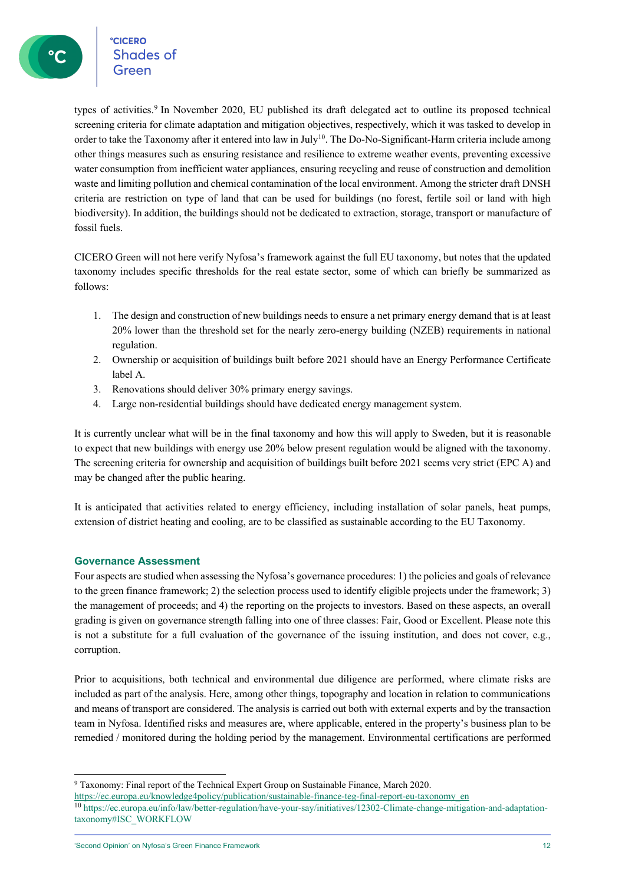°cicero<br>Shades of

types of activities.<sup>9</sup> In November 2020, EU published its draft delegated act to outline its proposed technical screening criteria for climate adaptation and mitigation objectives, respectively, which it was tasked to develop in order to take the Taxonomy after it entered into law in July<sup>10</sup>. The Do-No-Significant-Harm criteria include among other things measures such as ensuring resistance and resilience to extreme weather events, preventing excessive water consumption from inefficient water appliances, ensuring recycling and reuse of construction and demolition waste and limiting pollution and chemical contamination of the local environment. Among the stricter draft DNSH criteria are restriction on type of land that can be used for buildings (no forest, fertile soil or land with high biodiversity). In addition, the buildings should not be dedicated to extraction, storage, transport or manufacture of fossil fuels.

CICERO Green will not here verify Nyfosa's framework against the full EU taxonomy, but notes that the updated taxonomy includes specific thresholds for the real estate sector, some of which can briefly be summarized as follows:

- 1. The design and construction of new buildings needs to ensure a net primary energy demand that is at least 20% lower than the threshold set for the nearly zero-energy building (NZEB) requirements in national regulation.
- 2. Ownership or acquisition of buildings built before 2021 should have an Energy Performance Certificate label A.
- 3. Renovations should deliver 30% primary energy savings.
- 4. Large non-residential buildings should have dedicated energy management system.

It is currently unclear what will be in the final taxonomy and how this will apply to Sweden, but it is reasonable to expect that new buildings with energy use 20% below present regulation would be aligned with the taxonomy. The screening criteria for ownership and acquisition of buildings built before 2021 seems very strict (EPC A) and may be changed after the public hearing.

It is anticipated that activities related to energy efficiency, including installation of solar panels, heat pumps, extension of district heating and cooling, are to be classified as sustainable according to the EU Taxonomy.

## **Governance Assessment**

Four aspects are studied when assessing the Nyfosa's governance procedures: 1) the policies and goals of relevance to the green finance framework; 2) the selection process used to identify eligible projects under the framework; 3) the management of proceeds; and 4) the reporting on the projects to investors. Based on these aspects, an overall grading is given on governance strength falling into one of three classes: Fair, Good or Excellent. Please note this is not a substitute for a full evaluation of the governance of the issuing institution, and does not cover, e.g., corruption.

Prior to acquisitions, both technical and environmental due diligence are performed, where climate risks are included as part of the analysis. Here, among other things, topography and location in relation to communications and means of transport are considered. The analysis is carried out both with external experts and by the transaction team in Nyfosa. Identified risks and measures are, where applicable, entered in the property's business plan to be remedied / monitored during the holding period by the management. Environmental certifications are performed

<sup>9</sup> Taxonomy: Final report of the Technical Expert Group on Sustainable Finance, March 2020.

https://ec.europa.eu/knowledge4policy/publication/sustainable-finance-teg-final-report-eu-taxonomy\_en

<sup>10</sup> https://ec.europa.eu/info/law/better-regulation/have-your-say/initiatives/12302-Climate-change-mitigation-and-adaptationtaxonomy#ISC\_WORKFLOW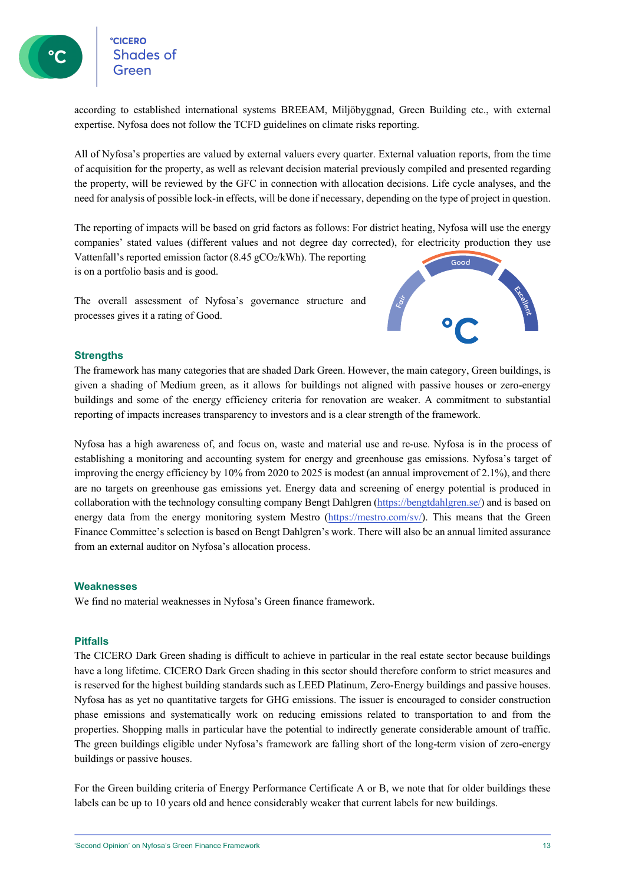eccero<br>Shades of

according to established international systems BREEAM, Miljöbyggnad, Green Building etc., with external expertise. Nyfosa does not follow the TCFD guidelines on climate risks reporting.

All of Nyfosa's properties are valued by external valuers every quarter. External valuation reports, from the time of acquisition for the property, as well as relevant decision material previously compiled and presented regarding the property, will be reviewed by the GFC in connection with allocation decisions. Life cycle analyses, and the need for analysis of possible lock-in effects, will be done if necessary, depending on the type of project in question.

The reporting of impacts will be based on grid factors as follows: For district heating, Nyfosa will use the energy companies' stated values (different values and not degree day corrected), for electricity production they use Vattenfall's reported emission factor  $(8.45 \text{ gCO}_2/\text{kWh})$ . The reporting is on a portfolio basis and is good.

The overall assessment of Nyfosa's governance structure and processes gives it a rating of Good.



## **Strengths**

The framework has many categories that are shaded Dark Green. However, the main category, Green buildings, is given a shading of Medium green, as it allows for buildings not aligned with passive houses or zero-energy buildings and some of the energy efficiency criteria for renovation are weaker. A commitment to substantial reporting of impacts increases transparency to investors and is a clear strength of the framework.

Nyfosa has a high awareness of, and focus on, waste and material use and re-use. Nyfosa is in the process of establishing a monitoring and accounting system for energy and greenhouse gas emissions. Nyfosa's target of improving the energy efficiency by 10% from 2020 to 2025 is modest (an annual improvement of 2.1%), and there are no targets on greenhouse gas emissions yet. Energy data and screening of energy potential is produced in collaboration with the technology consulting company Bengt Dahlgren (https://bengtdahlgren.se/) and is based on energy data from the energy monitoring system Mestro (https://mestro.com/sv/). This means that the Green Finance Committee's selection is based on Bengt Dahlgren's work. There will also be an annual limited assurance from an external auditor on Nyfosa's allocation process.

## **Weaknesses**

We find no material weaknesses in Nyfosa's Green finance framework.

## **Pitfalls**

The CICERO Dark Green shading is difficult to achieve in particular in the real estate sector because buildings have a long lifetime. CICERO Dark Green shading in this sector should therefore conform to strict measures and is reserved for the highest building standards such as LEED Platinum, Zero-Energy buildings and passive houses. Nyfosa has as yet no quantitative targets for GHG emissions. The issuer is encouraged to consider construction phase emissions and systematically work on reducing emissions related to transportation to and from the properties. Shopping malls in particular have the potential to indirectly generate considerable amount of traffic. The green buildings eligible under Nyfosa's framework are falling short of the long-term vision of zero-energy buildings or passive houses.

For the Green building criteria of Energy Performance Certificate A or B, we note that for older buildings these labels can be up to 10 years old and hence considerably weaker that current labels for new buildings.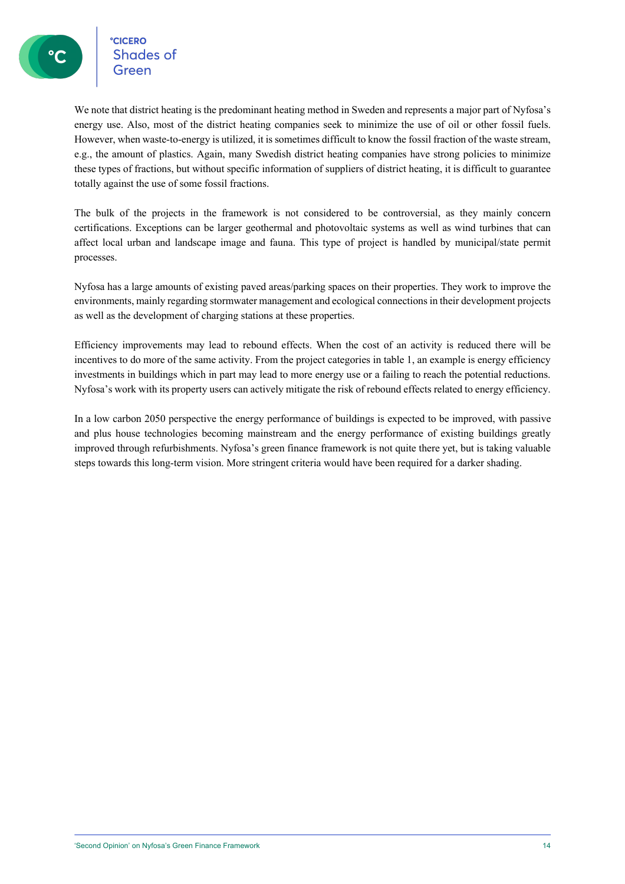**CICERO** <sup>e</sup>cicero<br>Shades of

We note that district heating is the predominant heating method in Sweden and represents a major part of Nyfosa's energy use. Also, most of the district heating companies seek to minimize the use of oil or other fossil fuels. However, when waste-to-energy is utilized, it is sometimes difficult to know the fossil fraction of the waste stream, e.g., the amount of plastics. Again, many Swedish district heating companies have strong policies to minimize these types of fractions, but without specific information of suppliers of district heating, it is difficult to guarantee totally against the use of some fossil fractions.

The bulk of the projects in the framework is not considered to be controversial, as they mainly concern certifications. Exceptions can be larger geothermal and photovoltaic systems as well as wind turbines that can affect local urban and landscape image and fauna. This type of project is handled by municipal/state permit processes.

Nyfosa has a large amounts of existing paved areas/parking spaces on their properties. They work to improve the environments, mainly regarding stormwater management and ecological connections in their development projects as well as the development of charging stations at these properties.

Efficiency improvements may lead to rebound effects. When the cost of an activity is reduced there will be incentives to do more of the same activity. From the project categories in table 1, an example is energy efficiency investments in buildings which in part may lead to more energy use or a failing to reach the potential reductions. Nyfosa's work with its property users can actively mitigate the risk of rebound effects related to energy efficiency.

In a low carbon 2050 perspective the energy performance of buildings is expected to be improved, with passive and plus house technologies becoming mainstream and the energy performance of existing buildings greatly improved through refurbishments. Nyfosa's green finance framework is not quite there yet, but is taking valuable steps towards this long-term vision. More stringent criteria would have been required for a darker shading.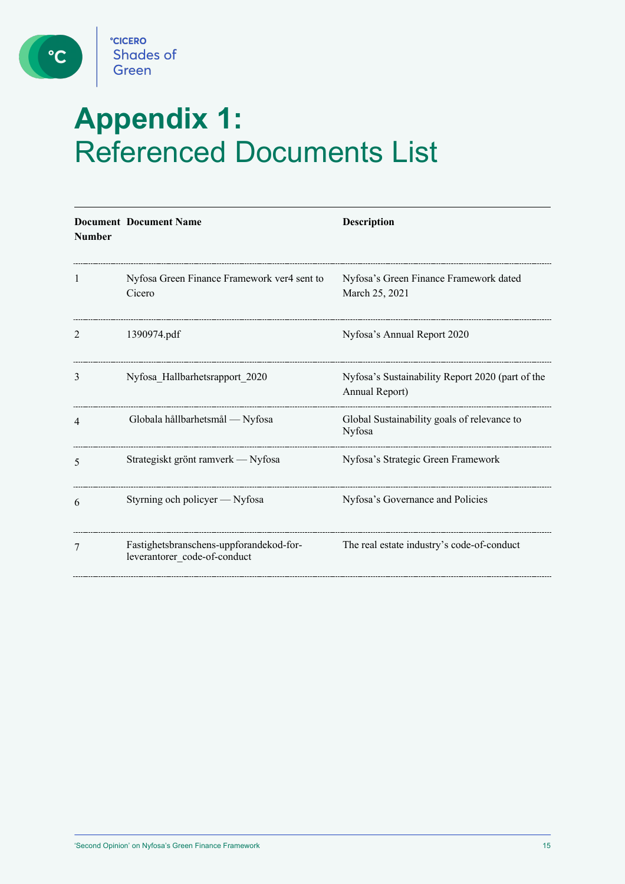

 $\bullet$ 

# **Appendix 1:**  Referenced Documents List

| <b>Number</b> | <b>Document Document Name</b>                                           | <b>Description</b>                                                 |
|---------------|-------------------------------------------------------------------------|--------------------------------------------------------------------|
| 1             | Nyfosa Green Finance Framework ver4 sent to<br>Cicero                   | Nyfosa's Green Finance Framework dated<br>March 25, 2021           |
| 2             | 1390974.pdf                                                             | Nyfosa's Annual Report 2020                                        |
| 3             | Nyfosa Hallbarhetsrapport 2020                                          | Nyfosa's Sustainability Report 2020 (part of the<br>Annual Report) |
| 4             | Globala hållbarhetsmål - Nyfosa                                         | Global Sustainability goals of relevance to<br>Nyfosa              |
| 5             | Strategiskt grönt ramverk — Nyfosa                                      | Nyfosa's Strategic Green Framework                                 |
| 6             | Styrning och policyer — Nyfosa                                          | Nyfosa's Governance and Policies                                   |
| 7             | Fastighetsbranschens-uppforandekod-for-<br>leverantorer_code-of-conduct | The real estate industry's code-of-conduct                         |